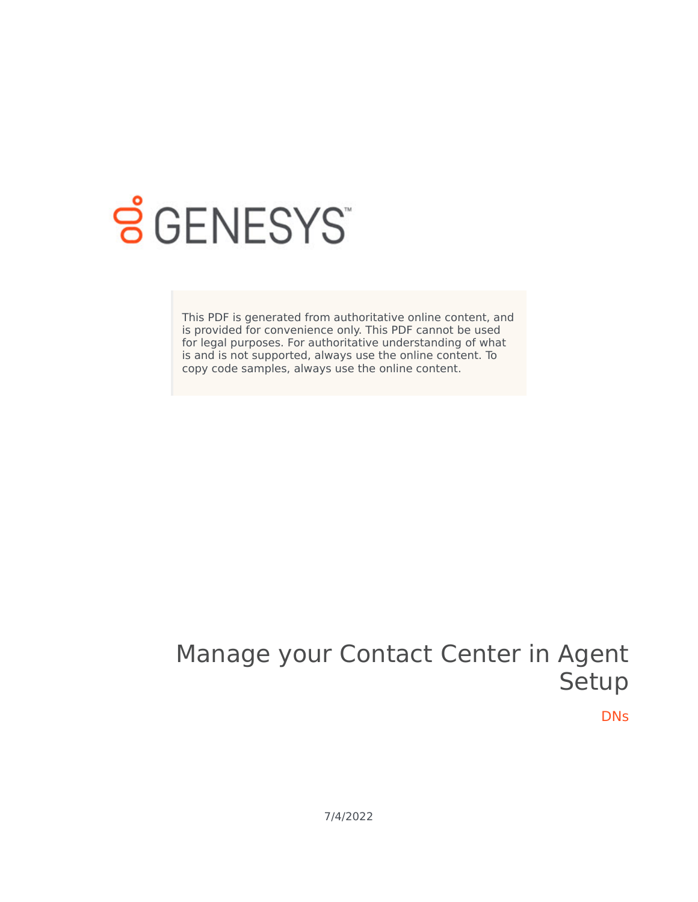

# **SGENESYS**

This PDF is generated from authoritative online content, and is provided for convenience only. This PDF cannot be used for legal purposes. For authoritative understanding of what is and is not supported, always use the online content. To copy code samples, always use the online content.

# Manage your Contact Center in Agent Setup

DNs

7/4/2022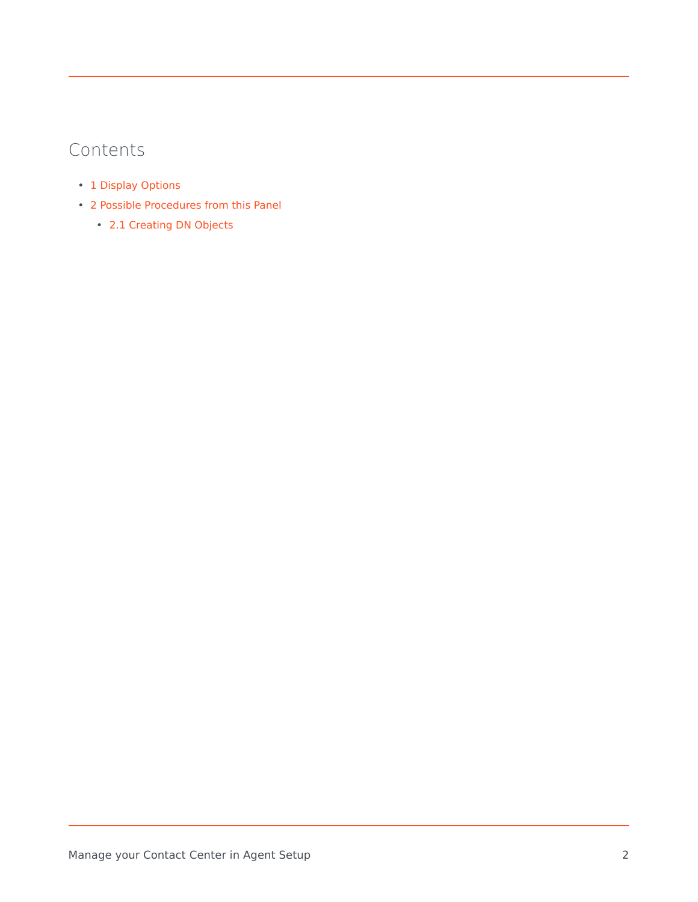# Contents

- 1 [Display Options](#page-2-0)
- 2 [Possible Procedures from this Panel](#page-3-0)
	- 2.1 [Creating DN Objects](#page-3-1)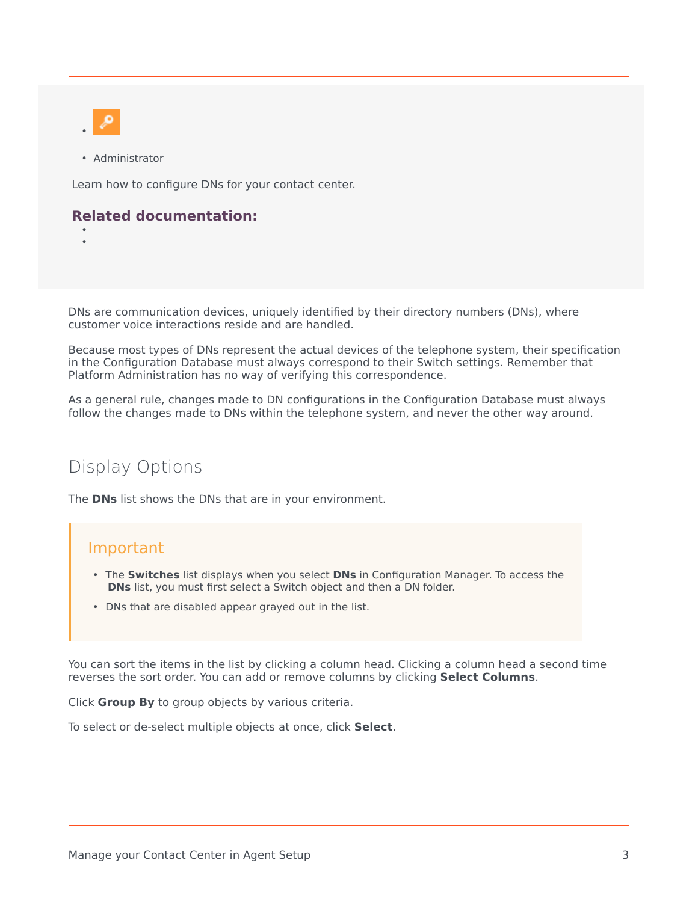

• Administrator

Learn how to configure DNs for your contact center.

#### **Related documentation:**

• •

DNs are communication devices, uniquely identified by their directory numbers (DNs), where customer voice interactions reside and are handled.

Because most types of DNs represent the actual devices of the telephone system, their specification in the Configuration Database must always correspond to their Switch settings. Remember that Platform Administration has no way of verifying this correspondence.

As a general rule, changes made to DN configurations in the Configuration Database must always follow the changes made to DNs within the telephone system, and never the other way around.

## <span id="page-2-0"></span>Display Options

The **DNs** list shows the DNs that are in your environment.

#### Important

- The **Switches** list displays when you select **DNs** in Configuration Manager. To access the **DNs** list, you must first select a Switch object and then a DN folder.
- DNs that are disabled appear grayed out in the list.

You can sort the items in the list by clicking a column head. Clicking a column head a second time reverses the sort order. You can add or remove columns by clicking **Select Columns**.

Click **Group By** to group objects by various criteria.

To select or de-select multiple objects at once, click **Select**.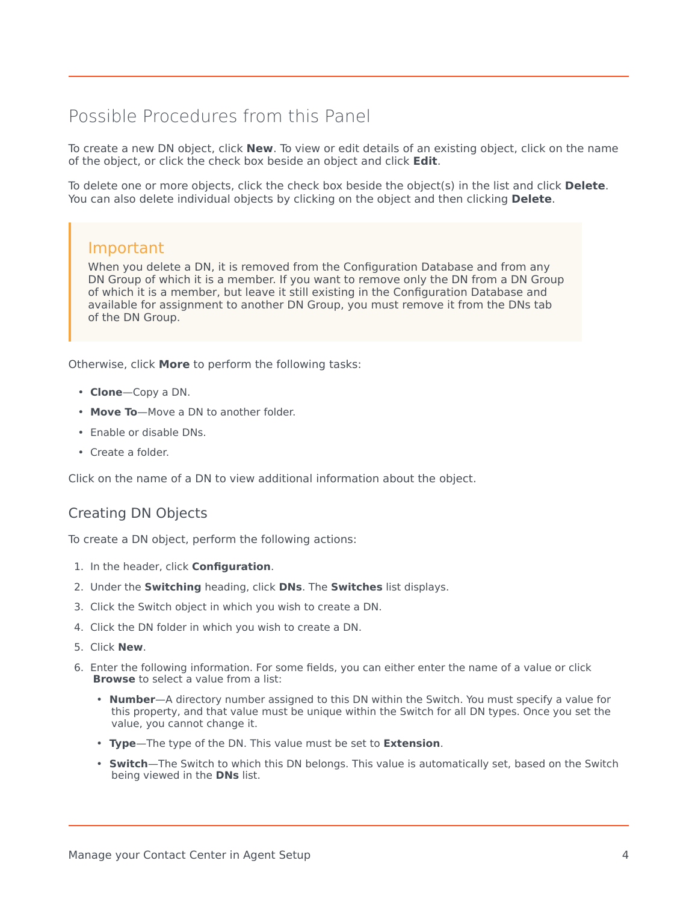# <span id="page-3-0"></span>Possible Procedures from this Panel

To create a new DN object, click **New**. To view or edit details of an existing object, click on the name of the object, or click the check box beside an object and click **Edit**.

To delete one or more objects, click the check box beside the object(s) in the list and click **Delete**. You can also delete individual objects by clicking on the object and then clicking **Delete**.

#### Important

When you delete a DN, it is removed from the Configuration Database and from any DN Group of which it is a member. If you want to remove only the DN from a DN Group of which it is a member, but leave it still existing in the Configuration Database and available for assignment to another DN Group, you must remove it from the DNs tab of the DN Group.

Otherwise, click **More** to perform the following tasks:

- **Clone**—Copy a DN.
- **Move To**—Move a DN to another folder.
- Enable or disable DNs.
- Create a folder.

Click on the name of a DN to view additional information about the object.

### <span id="page-3-1"></span>Creating DN Objects

To create a DN object, perform the following actions:

- 1. In the header, click **Configuration**.
- 2. Under the **Switching** heading, click **DNs**. The **Switches** list displays.
- 3. Click the Switch object in which you wish to create a DN.
- 4. Click the DN folder in which you wish to create a DN.
- 5. Click **New**.
- 6. Enter the following information. For some fields, you can either enter the name of a value or click **Browse** to select a value from a list:
	- **Number**—A directory number assigned to this DN within the Switch. You must specify a value for this property, and that value must be unique within the Switch for all DN types. Once you set the value, you cannot change it.
	- **Type**—The type of the DN. This value must be set to **Extension**.
	- **Switch**—The Switch to which this DN belongs. This value is automatically set, based on the Switch being viewed in the **DNs** list.